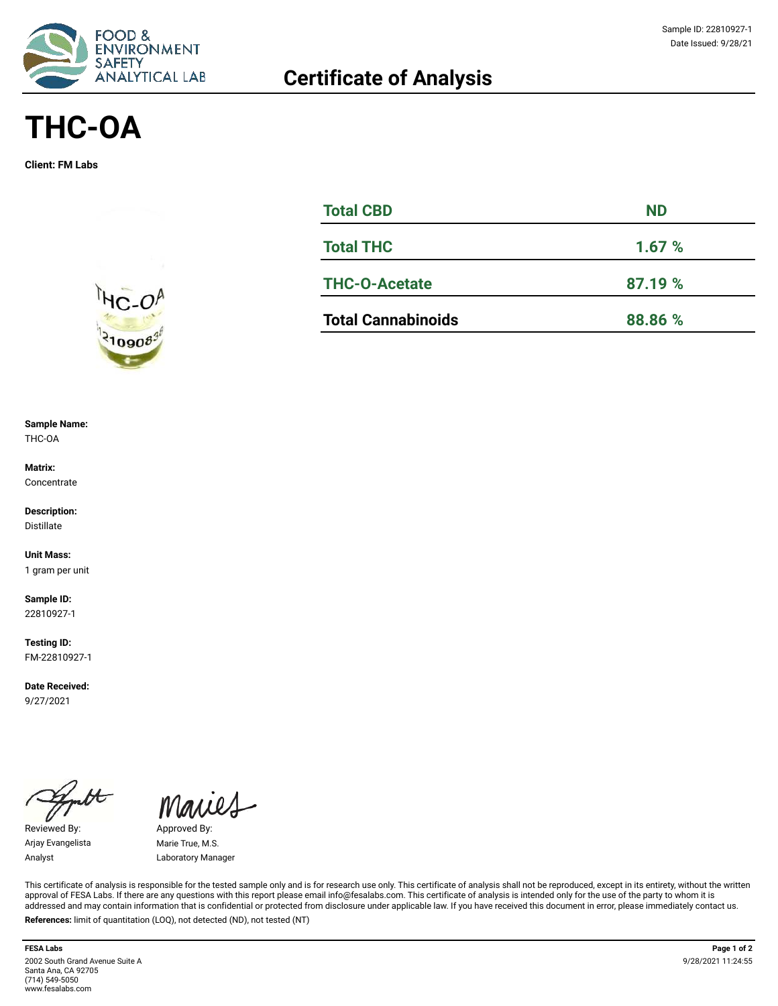

# **THC-OA**

**Client: FM Labs**



#### **Sample Name:**  THC-OA

**Matrix: Concentrate** 

**Description:** Distillate

**Unit Mass:**  1 gram per unit

**Sample ID:**  22810927-1

**Testing ID:**  FM-22810927-1

**Date Received:**  9/27/2021

Reviewed By: Approved By: Arjay Evangelista Marie True, M.S.

Maries

Analyst Laboratory Manager

This certificate of analysis is responsible for the tested sample only and is for research use only. This certificate of analysis shall not be reproduced, except in its entirety, without the written approval of FESA Labs. If there are any questions with this report please email info@fesalabs.com. This certificate of analysis is intended only for the use of the party to whom it is addressed and may contain information that is confidential or protected from disclosure under applicable law. If you have received this document in error, please immediately contact us. **References:** limit of quantitation (LOQ), not detected (ND), not tested (NT)

**FESA Labs Page 1 of 2** 2002 South Grand Avenue Suite A Santa Ana, CA 92705 (714) 549-5050 www.fesalabs.com

| <b>Total CBD</b>          | <b>ND</b> |  |  |  |
|---------------------------|-----------|--|--|--|
| <b>Total THC</b>          | 1.67%     |  |  |  |
| <b>THC-O-Acetate</b>      | 87.19 %   |  |  |  |
| <b>Total Cannabinoids</b> | 88.86 %   |  |  |  |